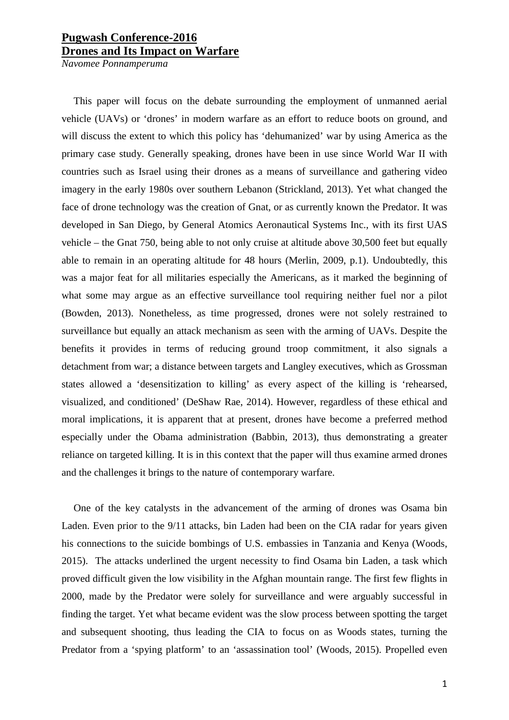## **Pugwash Conference-2016 Drones and Its Impact on Warfare**

*Navomee Ponnamperuma*

This paper will focus on the debate surrounding the employment of unmanned aerial vehicle (UAVs) or 'drones' in modern warfare as an effort to reduce boots on ground, and will discuss the extent to which this policy has 'dehumanized' war by using America as the primary case study. Generally speaking, drones have been in use since World War II with countries such as Israel using their drones as a means of surveillance and gathering video imagery in the early 1980s over southern Lebanon (Strickland, 2013). Yet what changed the face of drone technology was the creation of Gnat, or as currently known the Predator. It was developed in San Diego, by General Atomics Aeronautical Systems Inc., with its first UAS vehicle – the Gnat 750, being able to not only cruise at altitude above 30,500 feet but equally able to remain in an operating altitude for 48 hours (Merlin, 2009, p.1). Undoubtedly, this was a major feat for all militaries especially the Americans, as it marked the beginning of what some may argue as an effective surveillance tool requiring neither fuel nor a pilot (Bowden, 2013). Nonetheless, as time progressed, drones were not solely restrained to surveillance but equally an attack mechanism as seen with the arming of UAVs. Despite the benefits it provides in terms of reducing ground troop commitment, it also signals a detachment from war; a distance between targets and Langley executives, which as Grossman states allowed a 'desensitization to killing' as every aspect of the killing is 'rehearsed, visualized, and conditioned' (DeShaw Rae, 2014). However, regardless of these ethical and moral implications, it is apparent that at present, drones have become a preferred method especially under the Obama administration (Babbin, 2013), thus demonstrating a greater reliance on targeted killing. It is in this context that the paper will thus examine armed drones and the challenges it brings to the nature of contemporary warfare.

One of the key catalysts in the advancement of the arming of drones was Osama bin Laden. Even prior to the 9/11 attacks, bin Laden had been on the CIA radar for years given his connections to the suicide bombings of U.S. embassies in Tanzania and Kenya (Woods, 2015). The attacks underlined the urgent necessity to find Osama bin Laden, a task which proved difficult given the low visibility in the Afghan mountain range. The first few flights in 2000, made by the Predator were solely for surveillance and were arguably successful in finding the target. Yet what became evident was the slow process between spotting the target and subsequent shooting, thus leading the CIA to focus on as Woods states, turning the Predator from a 'spying platform' to an 'assassination tool' (Woods, 2015). Propelled even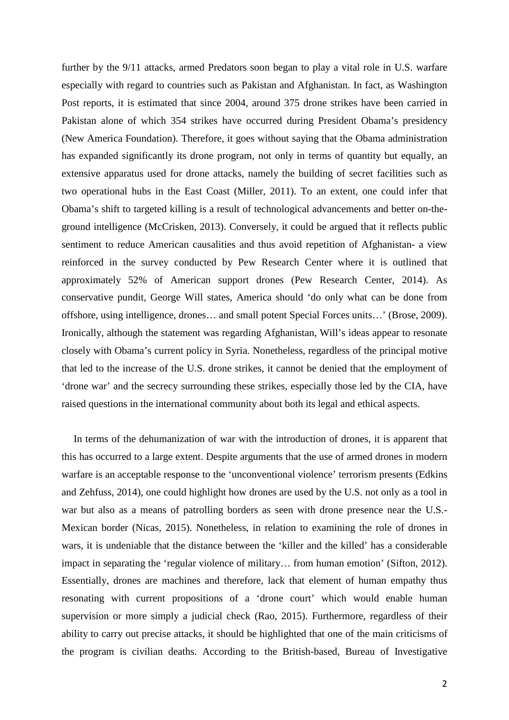further by the 9/11 attacks, armed Predators soon began to play a vital role in U.S. warfare especially with regard to countries such as Pakistan and Afghanistan. In fact, as Washington Post reports, it is estimated that since 2004, around 375 drone strikes have been carried in Pakistan alone of which 354 strikes have occurred during President Obama's presidency (New America Foundation). Therefore, it goes without saying that the Obama administration has expanded significantly its drone program, not only in terms of quantity but equally, an extensive apparatus used for drone attacks, namely the building of secret facilities such as two operational hubs in the East Coast (Miller, 2011). To an extent, one could infer that Obama's shift to targeted killing is a result of technological advancements and better on-theground intelligence (McCrisken, 2013). Conversely, it could be argued that it reflects public sentiment to reduce American causalities and thus avoid repetition of Afghanistan- a view reinforced in the survey conducted by Pew Research Center where it is outlined that approximately 52% of American support drones (Pew Research Center, 2014). As conservative pundit, George Will states, America should 'do only what can be done from offshore, using intelligence, drones… and small potent Special Forces units…' (Brose, 2009). Ironically, although the statement was regarding Afghanistan, Will's ideas appear to resonate closely with Obama's current policy in Syria. Nonetheless, regardless of the principal motive that led to the increase of the U.S. drone strikes, it cannot be denied that the employment of 'drone war' and the secrecy surrounding these strikes, especially those led by the CIA, have raised questions in the international community about both its legal and ethical aspects.

In terms of the dehumanization of war with the introduction of drones, it is apparent that this has occurred to a large extent. Despite arguments that the use of armed drones in modern warfare is an acceptable response to the 'unconventional violence' terrorism presents (Edkins and Zehfuss, 2014), one could highlight how drones are used by the U.S. not only as a tool in war but also as a means of patrolling borders as seen with drone presence near the U.S.- Mexican border (Nicas, 2015). Nonetheless, in relation to examining the role of drones in wars, it is undeniable that the distance between the 'killer and the killed' has a considerable impact in separating the 'regular violence of military… from human emotion' (Sifton, 2012). Essentially, drones are machines and therefore, lack that element of human empathy thus resonating with current propositions of a 'drone court' which would enable human supervision or more simply a judicial check (Rao, 2015). Furthermore, regardless of their ability to carry out precise attacks, it should be highlighted that one of the main criticisms of the program is civilian deaths. According to the British-based, Bureau of Investigative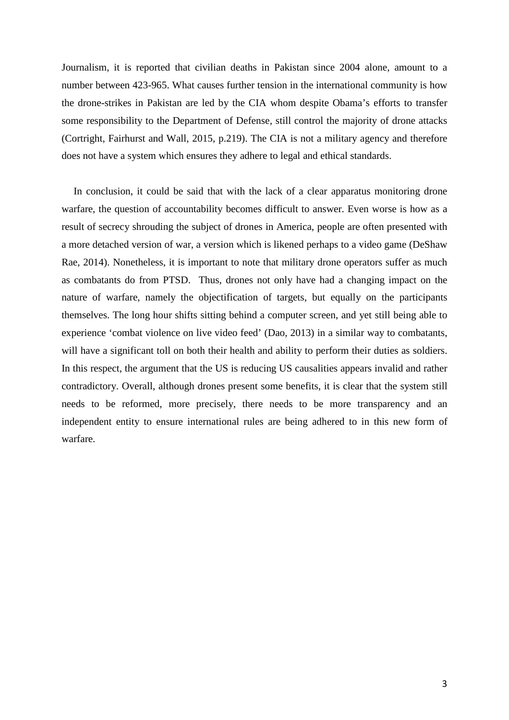Journalism, it is reported that civilian deaths in Pakistan since 2004 alone, amount to a number between 423-965. What causes further tension in the international community is how the drone-strikes in Pakistan are led by the CIA whom despite Obama's efforts to transfer some responsibility to the Department of Defense, still control the majority of drone attacks (Cortright, Fairhurst and Wall, 2015, p.219). The CIA is not a military agency and therefore does not have a system which ensures they adhere to legal and ethical standards.

In conclusion, it could be said that with the lack of a clear apparatus monitoring drone warfare, the question of accountability becomes difficult to answer. Even worse is how as a result of secrecy shrouding the subject of drones in America, people are often presented with a more detached version of war, a version which is likened perhaps to a video game (DeShaw Rae, 2014). Nonetheless, it is important to note that military drone operators suffer as much as combatants do from PTSD. Thus, drones not only have had a changing impact on the nature of warfare, namely the objectification of targets, but equally on the participants themselves. The long hour shifts sitting behind a computer screen, and yet still being able to experience 'combat violence on live video feed' (Dao, 2013) in a similar way to combatants, will have a significant toll on both their health and ability to perform their duties as soldiers. In this respect, the argument that the US is reducing US causalities appears invalid and rather contradictory. Overall, although drones present some benefits, it is clear that the system still needs to be reformed, more precisely, there needs to be more transparency and an independent entity to ensure international rules are being adhered to in this new form of warfare.